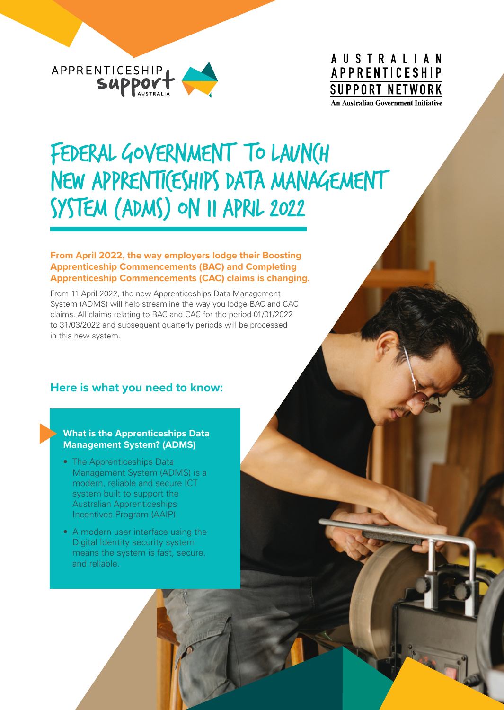

## **AUSTRALIAN APPRENTICESHIP SUPPORT NETWORK An Australian Government Initiative**

# FEDERAL GOVERNMENT TO LAUNCH NEW APPRENTI(ESHIPS DATA MANAGEMENT System (ADMS) on 11 April 2022

#### **From April 2022, the way employers lodge their Boosting Apprenticeship Commencements (BAC) and Completing Apprenticeship Commencements (CAC) claims is changing.**

From 11 April 2022, the new Apprenticeships Data Management System (ADMS) will help streamline the way you lodge BAC and CAC claims. All claims relating to BAC and CAC for the period 01/01/2022 to 31/03/2022 and subsequent quarterly periods will be processed in this new system.

## **Here is what you need to know:**

#### **What is the Apprenticeships Data Management System? (ADMS)**

- The Apprenticeships Data Management System (ADMS) is a modern, reliable and secure ICT system built to support the Australian Apprenticeships Incentives Program (AAIP).
- A modern user interface using the Digital Identity security system means the system is fast, secure, and reliable.